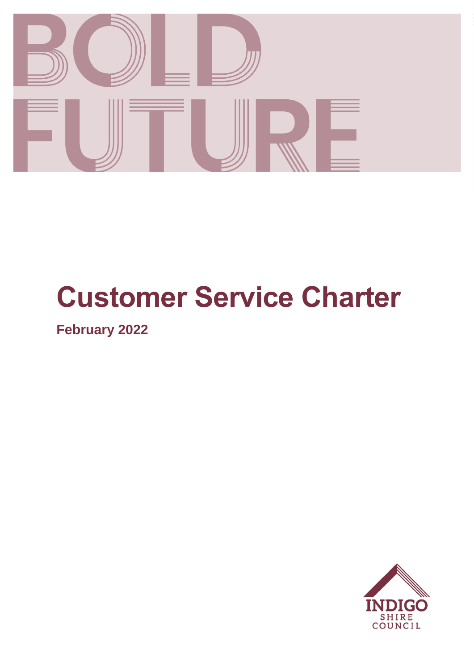

# **Customer Service Charter**

**February 2022**

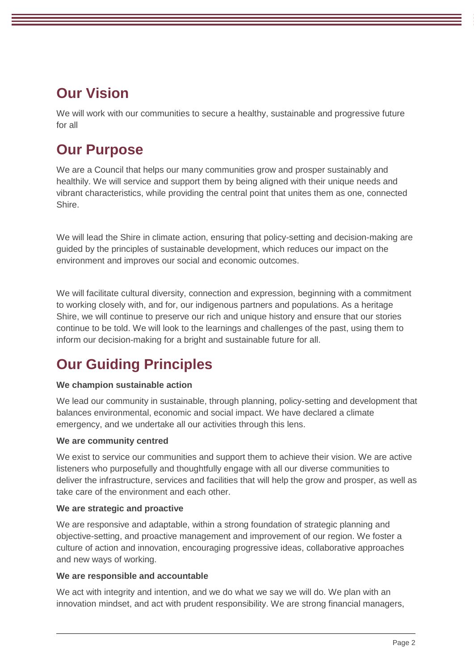# **Our Vision**

We will work with our communities to secure a healthy, sustainable and progressive future for all

# **Our Purpose**

We are a Council that helps our many communities grow and prosper sustainably and healthily. We will service and support them by being aligned with their unique needs and vibrant characteristics, while providing the central point that unites them as one, connected Shire.

We will lead the Shire in climate action, ensuring that policy-setting and decision-making are guided by the principles of sustainable development, which reduces our impact on the environment and improves our social and economic outcomes.

We will facilitate cultural diversity, connection and expression, beginning with a commitment to working closely with, and for, our indigenous partners and populations. As a heritage Shire, we will continue to preserve our rich and unique history and ensure that our stories continue to be told. We will look to the learnings and challenges of the past, using them to inform our decision-making for a bright and sustainable future for all.

# **Our Guiding Principles**

# **We champion sustainable action**

We lead our community in sustainable, through planning, policy-setting and development that balances environmental, economic and social impact. We have declared a climate emergency, and we undertake all our activities through this lens.

# **We are community centred**

We exist to service our communities and support them to achieve their vision. We are active listeners who purposefully and thoughtfully engage with all our diverse communities to deliver the infrastructure, services and facilities that will help the grow and prosper, as well as take care of the environment and each other.

#### **We are strategic and proactive**

We are responsive and adaptable, within a strong foundation of strategic planning and objective-setting, and proactive management and improvement of our region. We foster a culture of action and innovation, encouraging progressive ideas, collaborative approaches and new ways of working.

#### **We are responsible and accountable**

We act with integrity and intention, and we do what we say we will do. We plan with an innovation mindset, and act with prudent responsibility. We are strong financial managers,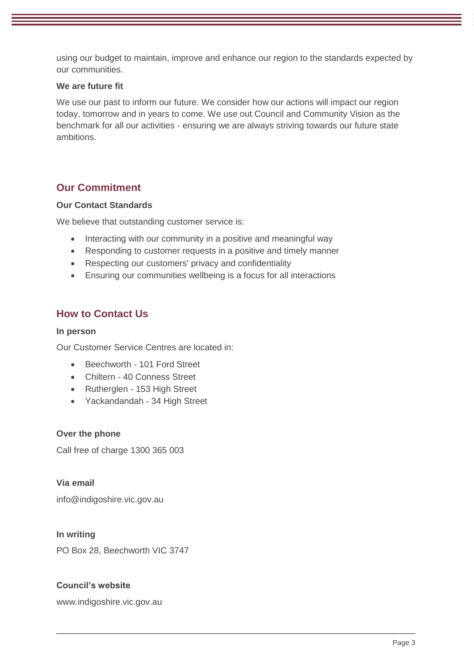using our budget to maintain, improve and enhance our region to the standards expected by our communities.

#### **We are future fit**

We use our past to inform our future. We consider how our actions will impact our region today, tomorrow and in years to come. We use out Council and Community Vision as the benchmark for all our activities - ensuring we are always striving towards our future state ambitions.

# **Our Commitment**

#### **Our Contact Standards**

We believe that outstanding customer service is:

- Interacting with our community in a positive and meaningful way
- Responding to customer requests in a positive and timely manner
- Respecting our customers' privacy and confidentiality
- Ensuring our communities wellbeing is a focus for all interactions

# **How to Contact Us**

#### **In person**

Our Customer Service Centres are located in:

- Beechworth 101 Ford Street
- Chiltern 40 Conness Street
- Rutherglen 153 High Street
- Yackandandah 34 High Street

#### **Over the phone**

Call free of charge 1300 365 003

**Via email**

info@indigoshire.vic.gov.au

#### **In writing**

PO Box 28, Beechworth VIC 3747

#### **Council's website**

www.indigoshire.vic.gov.au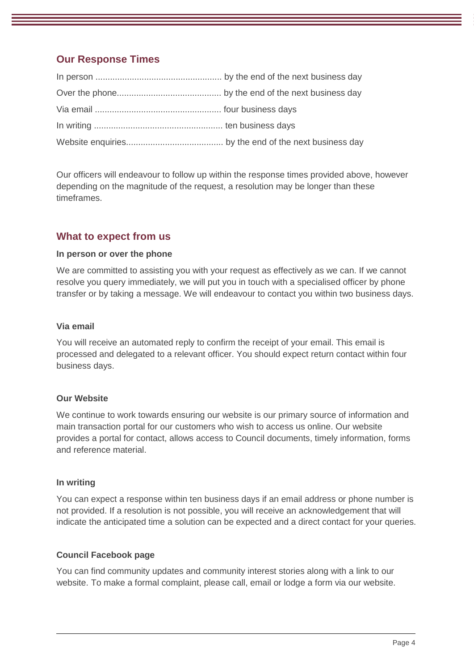# **Our Response Times**

Our officers will endeavour to follow up within the response times provided above, however depending on the magnitude of the request, a resolution may be longer than these timeframes.

# **What to expect from us**

#### **In person or over the phone**

We are committed to assisting you with your request as effectively as we can. If we cannot resolve you query immediately, we will put you in touch with a specialised officer by phone transfer or by taking a message. We will endeavour to contact you within two business days.

#### **Via email**

You will receive an automated reply to confirm the receipt of your email. This email is processed and delegated to a relevant officer. You should expect return contact within four business days.

#### **Our Website**

We continue to work towards ensuring our website is our primary source of information and main transaction portal for our customers who wish to access us online. Our website provides a portal for contact, allows access to Council documents, timely information, forms and reference material.

#### **In writing**

You can expect a response within ten business days if an email address or phone number is not provided. If a resolution is not possible, you will receive an acknowledgement that will indicate the anticipated time a solution can be expected and a direct contact for your queries.

#### **Council Facebook page**

You can find community updates and community interest stories along with a link to our website. To make a formal complaint, please call, email or lodge a form via our website.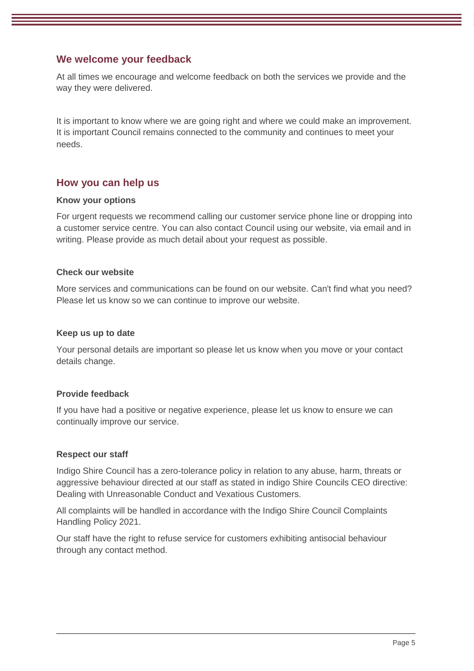# **We welcome your feedback**

At all times we encourage and welcome feedback on both the services we provide and the way they were delivered.

It is important to know where we are going right and where we could make an improvement. It is important Council remains connected to the community and continues to meet your needs.

# **How you can help us**

#### **Know your options**

For urgent requests we recommend calling our customer service phone line or dropping into a customer service centre. You can also contact Council using our website, via email and in writing. Please provide as much detail about your request as possible.

#### **Check our website**

More services and communications can be found on our website. Can't find what you need? Please let us know so we can continue to improve our website.

#### **Keep us up to date**

Your personal details are important so please let us know when you move or your contact details change.

#### **Provide feedback**

If you have had a positive or negative experience, please let us know to ensure we can continually improve our service.

#### **Respect our staff**

Indigo Shire Council has a zero-tolerance policy in relation to any abuse, harm, threats or aggressive behaviour directed at our staff as stated in indigo Shire Councils CEO directive: Dealing with Unreasonable Conduct and Vexatious Customers.

All complaints will be handled in accordance with the Indigo Shire Council Complaints Handling Policy 2021.

Our staff have the right to refuse service for customers exhibiting antisocial behaviour through any contact method.